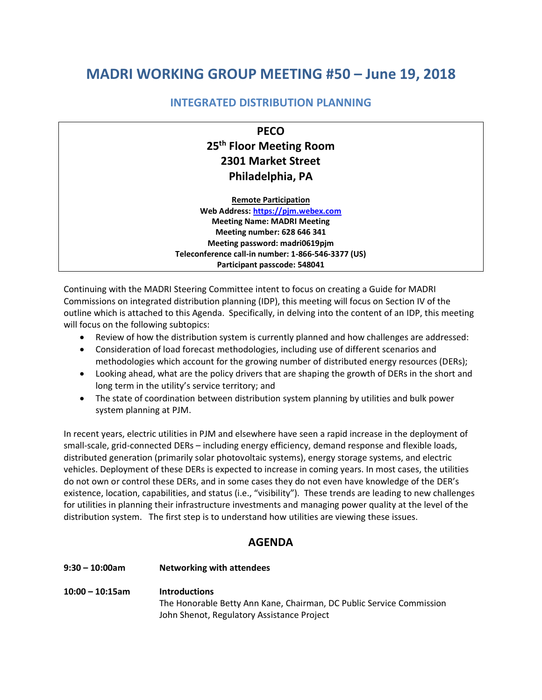# **MADRI WORKING GROUP MEETING #50 – June 19, 2018**

## **INTEGRATED DISTRIBUTION PLANNING**

**PECO 25th Floor Meeting Room 2301 Market Street Philadelphia, PA**

**Remote Participation**

**Web Address: [https://pjm.webex.com](https://pjm.webex.com/) Meeting Name: MADRI Meeting Meeting number: 628 646 341 Meeting password: madri0619pjm Teleconference call-in number: 1-866-546-3377 (US) Participant passcode: 548041**

Continuing with the MADRI Steering Committee intent to focus on creating a Guide for MADRI Commissions on integrated distribution planning (IDP), this meeting will focus on Section IV of the outline which is attached to this Agenda. Specifically, in delving into the content of an IDP, this meeting will focus on the following subtopics:

- Review of how the distribution system is currently planned and how challenges are addressed:
- Consideration of load forecast methodologies, including use of different scenarios and methodologies which account for the growing number of distributed energy resources (DERs);
- Looking ahead, what are the policy drivers that are shaping the growth of DERs in the short and long term in the utility's service territory; and
- The state of coordination between distribution system planning by utilities and bulk power system planning at PJM.

In recent years, electric utilities in PJM and elsewhere have seen a rapid increase in the deployment of small-scale, grid-connected DERs – including energy efficiency, demand response and flexible loads, distributed generation (primarily solar photovoltaic systems), energy storage systems, and electric vehicles. Deployment of these DERs is expected to increase in coming years. In most cases, the utilities do not own or control these DERs, and in some cases they do not even have knowledge of the DER's existence, location, capabilities, and status (i.e., "visibility"). These trends are leading to new challenges for utilities in planning their infrastructure investments and managing power quality at the level of the distribution system. The first step is to understand how utilities are viewing these issues.

# **AGENDA**

# **9:30 – 10:00am Networking with attendees 10:00 – 10:15am Introductions** The Honorable Betty Ann Kane, Chairman, DC Public Service Commission John Shenot, Regulatory Assistance Project